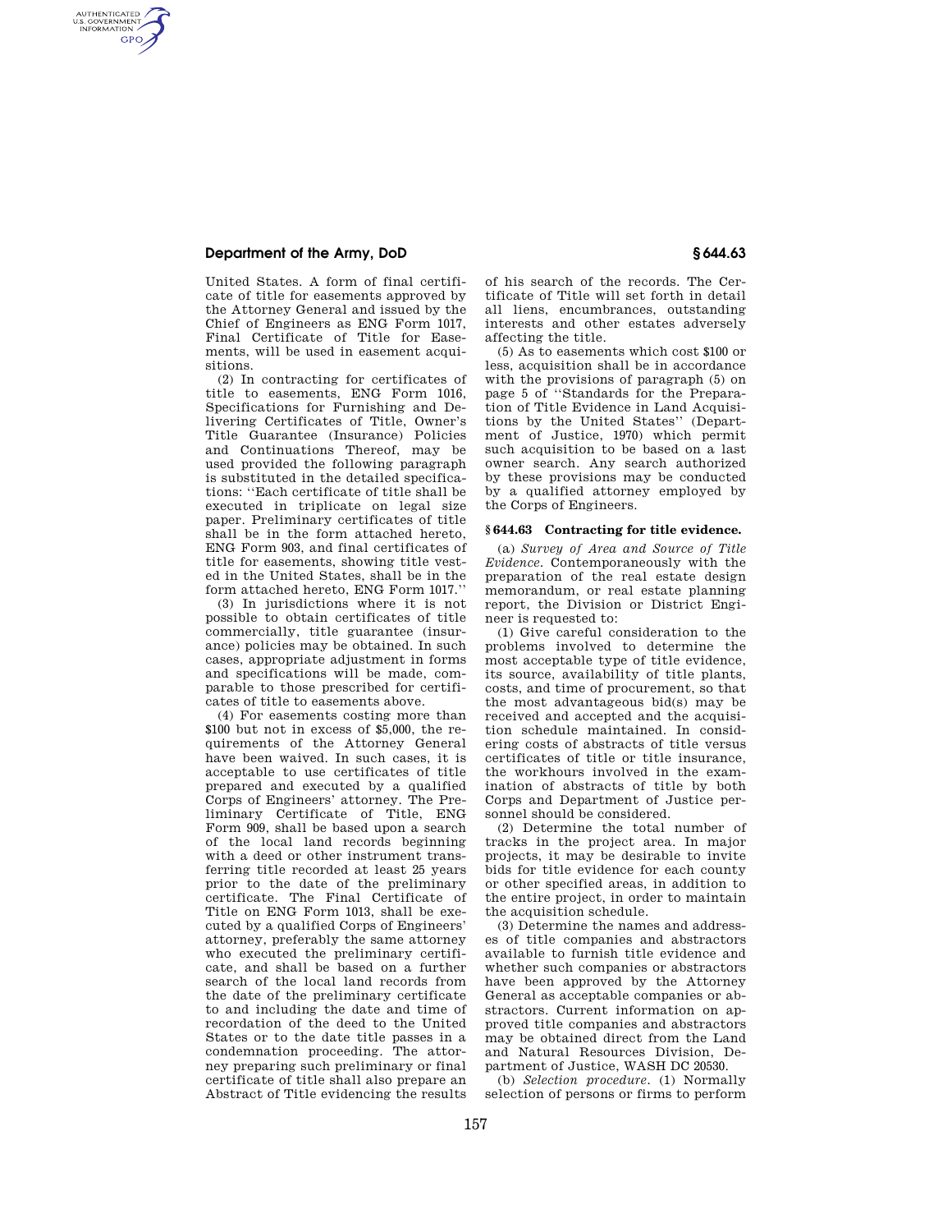# **Department of the Army, DoD § 644.63**

AUTHENTICATED<br>U.S. GOVERNMENT<br>INFORMATION **GPO** 

> United States. A form of final certificate of title for easements approved by the Attorney General and issued by the Chief of Engineers as ENG Form 1017, Final Certificate of Title for Easements, will be used in easement acquisitions.

> (2) In contracting for certificates of title to easements, ENG Form 1016, Specifications for Furnishing and Delivering Certificates of Title, Owner's Title Guarantee (Insurance) Policies and Continuations Thereof, may be used provided the following paragraph is substituted in the detailed specifications: ''Each certificate of title shall be executed in triplicate on legal size paper. Preliminary certificates of title shall be in the form attached hereto, ENG Form 903, and final certificates of title for easements, showing title vested in the United States, shall be in the form attached hereto, ENG Form 1017.''

> (3) In jurisdictions where it is not possible to obtain certificates of title commercially, title guarantee (insurance) policies may be obtained. In such cases, appropriate adjustment in forms and specifications will be made, comparable to those prescribed for certificates of title to easements above.

> (4) For easements costing more than \$100 but not in excess of \$5,000, the requirements of the Attorney General have been waived. In such cases, it is acceptable to use certificates of title prepared and executed by a qualified Corps of Engineers' attorney. The Preliminary Certificate of Title, ENG Form 909, shall be based upon a search of the local land records beginning with a deed or other instrument transferring title recorded at least 25 years prior to the date of the preliminary certificate. The Final Certificate of Title on ENG Form 1013, shall be executed by a qualified Corps of Engineers' attorney, preferably the same attorney who executed the preliminary certificate, and shall be based on a further search of the local land records from the date of the preliminary certificate to and including the date and time of recordation of the deed to the United States or to the date title passes in a condemnation proceeding. The attorney preparing such preliminary or final certificate of title shall also prepare an Abstract of Title evidencing the results

of his search of the records. The Certificate of Title will set forth in detail all liens, encumbrances, outstanding interests and other estates adversely affecting the title.

(5) As to easements which cost \$100 or less, acquisition shall be in accordance with the provisions of paragraph (5) on page 5 of ''Standards for the Preparation of Title Evidence in Land Acquisitions by the United States'' (Department of Justice, 1970) which permit such acquisition to be based on a last owner search. Any search authorized by these provisions may be conducted by a qualified attorney employed by the Corps of Engineers.

#### **§ 644.63 Contracting for title evidence.**

(a) *Survey of Area and Source of Title Evidence.* Contemporaneously with the preparation of the real estate design memorandum, or real estate planning report, the Division or District Engineer is requested to:

(1) Give careful consideration to the problems involved to determine the most acceptable type of title evidence, its source, availability of title plants, costs, and time of procurement, so that the most advantageous bid(s) may be received and accepted and the acquisition schedule maintained. In considering costs of abstracts of title versus certificates of title or title insurance, the workhours involved in the examination of abstracts of title by both Corps and Department of Justice personnel should be considered.

(2) Determine the total number of tracks in the project area. In major projects, it may be desirable to invite bids for title evidence for each county or other specified areas, in addition to the entire project, in order to maintain the acquisition schedule.

(3) Determine the names and addresses of title companies and abstractors available to furnish title evidence and whether such companies or abstractors have been approved by the Attorney General as acceptable companies or abstractors. Current information on approved title companies and abstractors may be obtained direct from the Land and Natural Resources Division, Department of Justice, WASH DC 20530.

(b) *Selection procedure.* (1) Normally selection of persons or firms to perform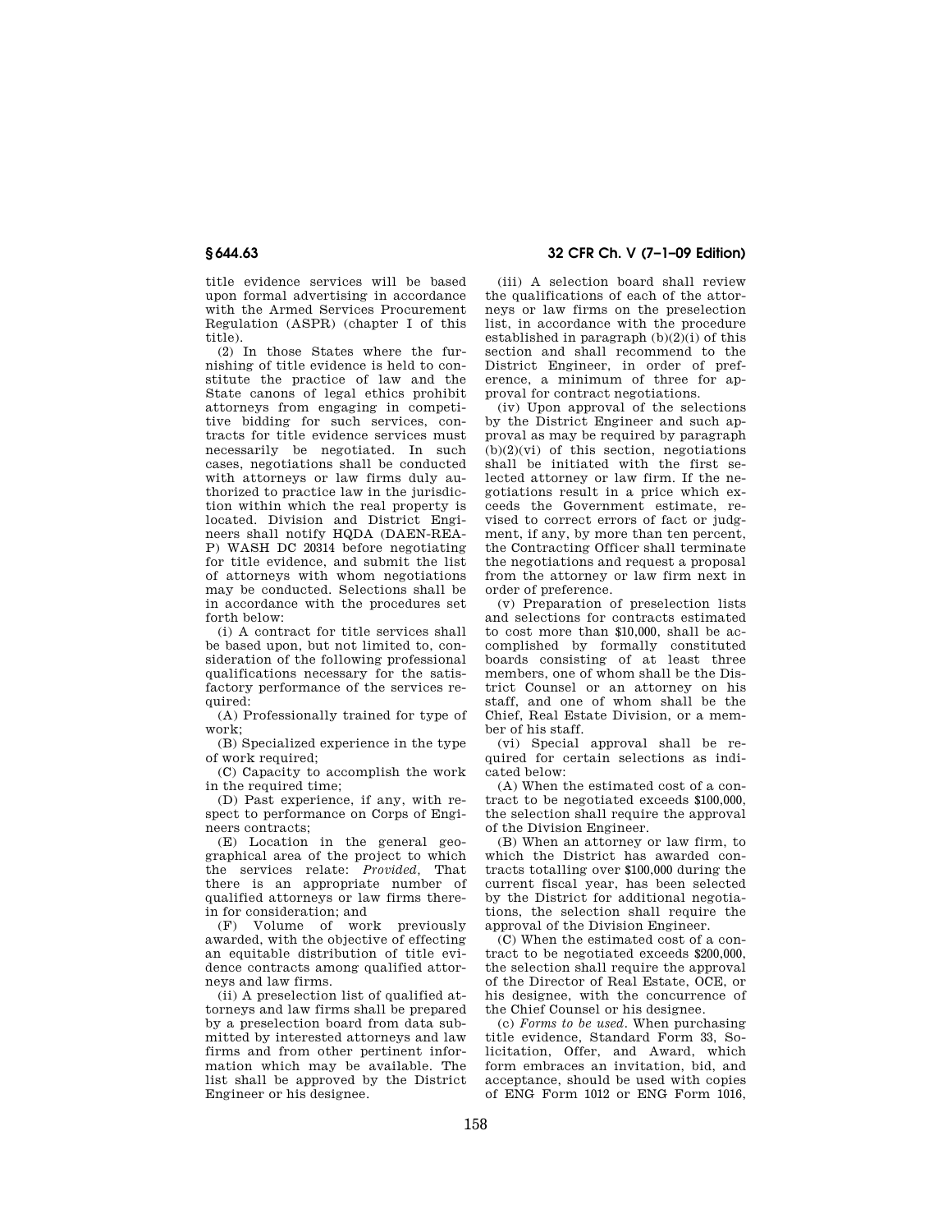title evidence services will be based upon formal advertising in accordance with the Armed Services Procurement Regulation (ASPR) (chapter I of this title).

(2) In those States where the furnishing of title evidence is held to constitute the practice of law and the State canons of legal ethics prohibit attorneys from engaging in competitive bidding for such services, contracts for title evidence services must necessarily be negotiated. In such cases, negotiations shall be conducted with attorneys or law firms duly authorized to practice law in the jurisdiction within which the real property is located. Division and District Engineers shall notify HQDA (DAEN-REA-P) WASH DC 20314 before negotiating for title evidence, and submit the list of attorneys with whom negotiations may be conducted. Selections shall be in accordance with the procedures set forth below:

(i) A contract for title services shall be based upon, but not limited to, consideration of the following professional qualifications necessary for the satisfactory performance of the services required:

(A) Professionally trained for type of work;

(B) Specialized experience in the type of work required;

(C) Capacity to accomplish the work in the required time;

(D) Past experience, if any, with respect to performance on Corps of Engineers contracts;

(E) Location in the general geographical area of the project to which the services relate: *Provided,* That there is an appropriate number of qualified attorneys or law firms therein for consideration; and

(F) Volume of work previously awarded, with the objective of effecting an equitable distribution of title evidence contracts among qualified attorneys and law firms.

(ii) A preselection list of qualified attorneys and law firms shall be prepared by a preselection board from data submitted by interested attorneys and law firms and from other pertinent information which may be available. The list shall be approved by the District Engineer or his designee.

**§ 644.63 32 CFR Ch. V (7–1–09 Edition)** 

(iii) A selection board shall review the qualifications of each of the attorneys or law firms on the preselection list, in accordance with the procedure established in paragraph  $(b)(2)(i)$  of this section and shall recommend to the District Engineer, in order of preference, a minimum of three for approval for contract negotiations.

(iv) Upon approval of the selections by the District Engineer and such approval as may be required by paragraph  $(b)(2)(vi)$  of this section, negotiations shall be initiated with the first selected attorney or law firm. If the negotiations result in a price which exceeds the Government estimate, revised to correct errors of fact or judgment, if any, by more than ten percent, the Contracting Officer shall terminate the negotiations and request a proposal from the attorney or law firm next in order of preference.

(v) Preparation of preselection lists and selections for contracts estimated to cost more than \$10,000, shall be accomplished by formally constituted boards consisting of at least three members, one of whom shall be the District Counsel or an attorney on his staff, and one of whom shall be the Chief, Real Estate Division, or a member of his staff.

(vi) Special approval shall be required for certain selections as indicated below:

(A) When the estimated cost of a contract to be negotiated exceeds \$100,000, the selection shall require the approval of the Division Engineer.

(B) When an attorney or law firm, to which the District has awarded contracts totalling over \$100,000 during the current fiscal year, has been selected by the District for additional negotiations, the selection shall require the approval of the Division Engineer.

(C) When the estimated cost of a contract to be negotiated exceeds \$200,000, the selection shall require the approval of the Director of Real Estate, OCE, or his designee, with the concurrence of the Chief Counsel or his designee.

(c) *Forms to be used.* When purchasing title evidence, Standard Form 33, Solicitation, Offer, and Award, which form embraces an invitation, bid, and acceptance, should be used with copies of ENG Form 1012 or ENG Form 1016,